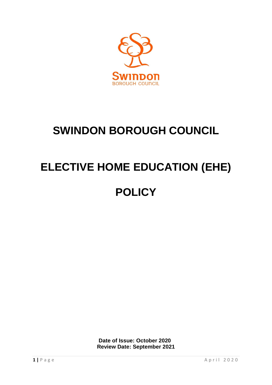

## **SWINDON BOROUGH COUNCIL**

# **ELECTIVE HOME EDUCATION (EHE)**

### **POLICY**

**Date of Issue: October 2020 Review Date: September 2021**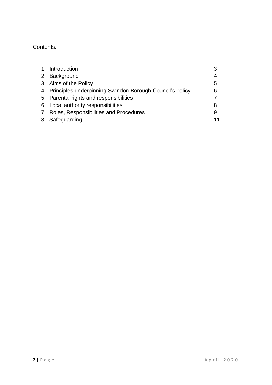#### Contents:

| 1. Introduction                                             |    |
|-------------------------------------------------------------|----|
| 2. Background                                               | 4  |
| 3. Aims of the Policy                                       | 5  |
| 4. Principles underpinning Swindon Borough Council's policy | 6  |
| 5. Parental rights and responsibilities                     |    |
| 6. Local authority responsibilities                         |    |
| 7. Roles, Responsibilities and Procedures                   | 9  |
| 8. Safeguarding                                             | 11 |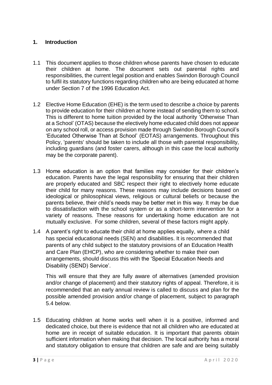#### **1. Introduction**

- 1.1 This document applies to those children whose parents have chosen to educate their children at home. The document sets out parental rights and responsibilities, the current legal position and enables Swindon Borough Council to fulfil its statutory functions regarding children who are being educated at home under Section 7 of the 1996 Education Act.
- 1.2 Elective Home Education (EHE) is the term used to describe a choice by parents to provide education for their children at home instead of sending them to school. This is different to home tuition provided by the local authority 'Otherwise Than at a School' (OTAS) because the electively home educated child does not appear on any school roll, or access provision made through Swindon Borough Council's 'Educated Otherwise Than at School' (EOTAS) arrangements. Throughout this Policy, 'parents' should be taken to include all those with parental responsibility, including guardians (and foster carers, although in this case the local authority may be the corporate parent).
- 1.3 Home education is an option that families may consider for their children's education. Parents have the legal responsibility for ensuring that their children are properly educated and SBC respect their right to electively home educate their child for many reasons. These reasons may include decisions based on ideological or philosophical views, religious or cultural beliefs or because the parents believe, their child's needs may be better met in this way. It may be due to dissatisfaction with the school system or as a short-term intervention for a variety of reasons. These reasons for undertaking home education are not mutually exclusive. For some children, several of these factors might apply.
- 1.4 A parent's right to educate their child at home applies equally, where a child has special educational needs (SEN) and disabilities. It is recommended that parents of any child subject to the statutory provisions of an Education Health and Care Plan (EHCP), who are considering whether to make their own arrangements, should discuss this with the 'Special Education Needs and Disability (SEND) Service'.

This will ensure that they are fully aware of alternatives (amended provision and/or change of placement) and their statutory rights of appeal. Therefore, it is recommended that an early annual review is called to discuss and plan for the possible amended provision and/or change of placement, subject to paragraph 5.4 below.

1.5 Educating children at home works well when it is a positive, informed and dedicated choice, but there is evidence that not all children who are educated at home are in receipt of suitable education. It is important that parents obtain sufficient information when making that decision. The local authority has a moral and statutory obligation to ensure that children are safe and are being suitably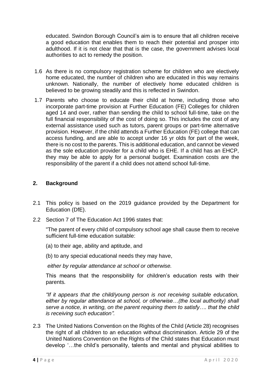educated. Swindon Borough Council's aim is to ensure that all children receive a good education that enables them to reach their potential and prosper into adulthood. If it is not clear that that is the case, the government advises local authorities to act to remedy the position.

- 1.6 As there is no compulsory registration scheme for children who are electively home educated, the number of children who are educated in this way remains unknown. Nationally, the number of electively home educated children is believed to be growing steadily and this is reflected in Swindon.
- 1.7 Parents who choose to educate their child at home, including those who incorporate part-time provision at Further Education (FE) Colleges for children aged 14 and over, rather than sending the child to school full-time, take on the full financial responsibility of the cost of doing so. This includes the cost of any external assistance used such as tutors, parent groups or part-time alternative provision. However, if the child attends a Further Education (FE) college that can access funding, and are able to accept under 16 yr olds for part of the week, there is no cost to the parents. This is additional education, and cannot be viewed as the sole education provider for a child who is EHE. If a child has an EHCP, they may be able to apply for a personal budget. Examination costs are the responsibility of the parent if a child does not attend school full-time.

#### **2. Background**

- 2.1 This policy is based on the 2019 guidance provided by the Department for Education (DfE).
- 2.2 Section 7 of The Education Act 1996 states that:

"The parent of every child of compulsory school age shall cause them to receive sufficient full-time education suitable:

- (a) to their age, ability and aptitude, and
- (b) to any special educational needs they may have,

*either by regular attendance at school or otherwise.* 

This means that the responsibility for children's education rests with their parents*.*

*"If it appears that the child/young person is not receiving suitable education, either by regular attendance at school, or otherwise…(the local authority) shall serve a notice, in writing, on the parent requiring them to satisfy…. that the child is receiving such education".*

2.3 The United Nations Convention on the Rights of the Child (Article 28) recognises the right of all children to an education without discrimination. Article 29 of the United Nations Convention on the Rights of the Child states that Education must develop '…the child's personality, talents and mental and physical abilities to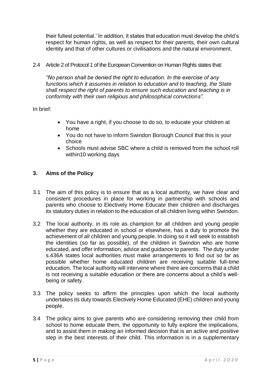their fullest potential.' In addition, it states that education must develop the child's respect for human rights, as well as respect for their parents, their own cultural identity and that of other cultures or civilisations and the natural environment.

2.4 Article 2 of Protocol 1 of the European Convention on Human Rights states that:

*"No person shall be denied the right to education. In the exercise of any*  functions which it assumes in relation to education and to teaching, the State *shall respect the right of parents to ensure such education and teaching is in conformity with their own religious and philosophical convictions".*

In brief:

- You have a right, if you choose to do so, to educate your children at home
- You do not have to inform Swindon Borough Council that this is your choice
- Schools must advise SBC where a child is removed from the school roll within10 working days

#### **3. Aims of the Policy**

- 3.1 The aim of this policy is to ensure that as a local authority, we have clear and consistent procedures in place for working in partnership with schools and parents who choose to Electively Home Educate their children and discharges its statutory duties in relation to the education of all children living within Swindon.
- 3.2 The local authority, in its role as champion for all children and young people whether they are educated in school or elsewhere, has a duty to promote the achievement of all children and young people. In doing so it will seek to establish the identities (so far as possible), of the children in Swindon who are home educated, and offer information, advice and guidance to parents. The duty under s.436A states local authorities must make arrangements to find out so far as possible whether home educated children are receiving suitable full-time education. The local authority will intervene where there are concerns that a child is not receiving a suitable education or there are concerns about a child's wellbeing or safety.
- 3.3 The policy seeks to affirm the principles upon which the local authority undertakes its duty towards Electively Home Educated (EHE) children and young people.
- 3.4 The policy aims to give parents who are considering removing their child from school to home educate them, the opportunity to fully explore the implications, and to assist them in making an informed decision that is an active and positive step in the best interests of their child. This information is in a supplementary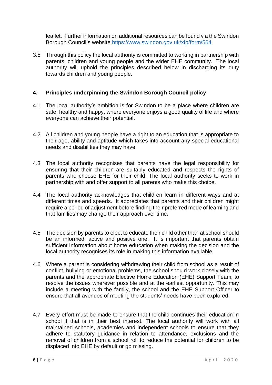leaflet. Further information on additional resources can be found via the Swindon Borough Council's website<https://www.swindon.gov.uk/xfp/form/564>

3.5 Through this policy the local authority is committed to working in partnership with parents, children and young people and the wider EHE community. The local authority will uphold the principles described below in discharging its duty towards children and young people.

#### **4. Principles underpinning the Swindon Borough Council policy**

- 4.1 The local authority's ambition is for Swindon to be a place where children are safe, healthy and happy, where everyone enjoys a good quality of life and where everyone can achieve their potential.
- 4.2 All children and young people have a right to an education that is appropriate to their age, ability and aptitude which takes into account any special educational needs and disabilities they may have.
- 4.3 The local authority recognises that parents have the legal responsibility for ensuring that their children are suitably educated and respects the rights of parents who choose EHE for their child. The local authority seeks to work in partnership with and offer support to all parents who make this choice.
- 4.4 The local authority acknowledges that children learn in different ways and at different times and speeds. It appreciates that parents and their children might require a period of adjustment before finding their preferred mode of learning and that families may change their approach over time.
- 4.5 The decision by parents to elect to educate their child other than at school should be an informed, active and positive one. It is important that parents obtain sufficient information about home education when making the decision and the local authority recognises its role in making this information available.
- 4.6 Where a parent is considering withdrawing their child from school as a result of conflict, bullying or emotional problems, the school should work closely with the parents and the appropriate Elective Home Education (EHE) Support Team, to resolve the issues wherever possible and at the earliest opportunity. This may include a meeting with the family, the school and the EHE Support Officer to ensure that all avenues of meeting the students' needs have been explored.
- 4.7 Every effort must be made to ensure that the child continues their education in school if that is in their best interest. The local authority will work with all maintained schools, academies and independent schools to ensure that they adhere to statutory guidance in relation to attendance, exclusions and the removal of children from a school roll to reduce the potential for children to be displaced into EHE by default or go missing.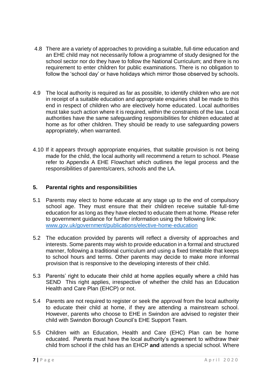- 4.8 There are a variety of approaches to providing a suitable, full-time education and an EHE child may not necessarily follow a programme of study designed for the school sector nor do they have to follow the National Curriculum; and there is no requirement to enter children for public examinations. There is no obligation to follow the 'school day' or have holidays which mirror those observed by schools.
- 4.9 The local authority is required as far as possible, to identify children who are not in receipt of a suitable education and appropriate enquiries shall be made to this end in respect of children who are electively home educated. Local authorities must take such action where it is required, within the constraints of the law. Local authorities have the same safeguarding responsibilities for children educated at home as for other children. They should be ready to use safeguarding powers appropriately, when warranted.
- 4.10 If it appears through appropriate enquiries, that suitable provision is not being made for the child, the local authority will recommend a return to school. Please refer to Appendix A EHE Flowchart which outlines the legal process and the responsibilities of parents/carers, schools and the LA.

#### **5. Parental rights and responsibilities**

- 5.1 Parents may elect to home educate at any stage up to the end of compulsory school age. They must ensure that their children receive suitable full-time education for as long as they have elected to educate them at home. Please refer to government guidance for further information using the following link: [www.gov.uk/government/publications/elective-home-education](http://www.gov.uk/government/publications/elective-home-education)
- 5.2 The education provided by parents will reflect a diversity of approaches and interests. Some parents may wish to provide education in a formal and structured manner, following a traditional curriculum and using a fixed timetable that keeps to school hours and terms. Other parents may decide to make more informal provision that is responsive to the developing interests of their child.
- 5.3 Parents' right to educate their child at home applies equally where a child has SEND This right applies, irrespective of whether the child has an Education Health and Care Plan (EHCP) or not.
- 5.4 Parents are not required to register or seek the approval from the local authority to educate their child at home, if they are attending a mainstream school. However, parents who choose to EHE in Swindon are advised to register their child with Swindon Borough Council's EHE Support Team.
- 5.5 Children with an Education, Health and Care (EHC) Plan can be home educated. Parents must have the local authority's agreement to withdraw their child from school if the child has an EHCP **and** attends a special school. Where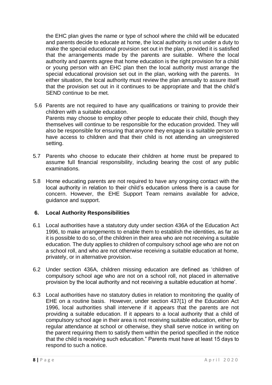the EHC plan gives the name or type of school where the child will be educated and parents decide to educate at home, the local authority is not under a duty to make the special educational provision set out in the plan, provided it is satisfied that the arrangements made by the parents are suitable. Where the local authority and parents agree that home education is the right provision for a child or young person with an EHC plan then the local authority must arrange the special educational provision set out in the plan, working with the parents. In either situation, the local authority must review the plan annually to assure itself that the provision set out in it continues to be appropriate and that the child's SEND continue to be met.

- 5.6 Parents are not required to have any qualifications or training to provide their children with a suitable education. Parents may choose to employ other people to educate their child, though they themselves will continue to be responsible for the education provided. They will also be responsible for ensuring that anyone they engage is a suitable person to have access to children and that their child is not attending an unregistered
- 5.7 Parents who choose to educate their children at home must be prepared to assume full financial responsibility, including bearing the cost of any public examinations.
- 5.8 Home educating parents are not required to have any ongoing contact with the local authority in relation to their child's education unless there is a cause for concern. However, the EHE Support Team remains available for advice, guidance and support.

#### **6. Local Authority Responsibilities**

setting.

- 6.1 Local authorities have a statutory duty under section 436A of the Education Act 1996, to make arrangements to enable them to establish the identities, as far as it is possible to do so, of the children in their area who are not receiving a suitable education. The duty applies to children of compulsory school age who are not on a school roll, and who are not otherwise receiving a suitable education at home, privately, or in alternative provision.
- 6.2 Under section 436A, children missing education are defined as 'children of compulsory school age who are not on a school roll, not placed in alternative provision by the local authority and not receiving a suitable education at home'.
- 6.3 Local authorities have no statutory duties in relation to monitoring the quality of EHE on a routine basis. However, under section 437(1) of the Education Act 1996, local authorities shall intervene if it appears that the parents are not providing a suitable education. If it appears to a local authority that a child of compulsory school age in their area is not receiving suitable education, either by regular attendance at school or otherwise, they shall serve notice in writing on the parent requiring them to satisfy them within the period specified in the notice that the child is receiving such education." Parents must have at least 15 days to respond to such a notice.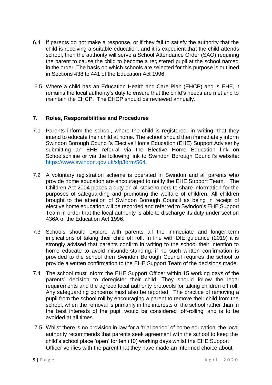- 6.4 If parents do not make a response, or if they fail to satisfy the authority that the child is receiving a suitable education, and it is expedient that the child attends school, then the authority will serve a School Attendance Order (SAO) requiring the parent to cause the child to become a registered pupil at the school named in the order. The basis on which schools are selected for this purpose is outlined in Sections 438 to 441 of the Education Act 1996.
- 6.5. Where a child has an Education Health and Care Plan (EHCP) and is EHE, it remains the local authority's duty to ensure that the child's needs are met and to maintain the EHCP. The EHCP should be reviewed annually.

#### **7. Roles, Responsibilities and Procedures**

- 7.1 Parents inform the school, where the child is registered, in writing, that they intend to educate their child at home. The school should then immediately inform Swindon Borough Council's Elective Home Education (EHE) Support Adviser by submitting an EHE referral via the Elective Home Education link on Schoolsonline or via the following link to Swindon Borough Council's website: [https://www.swindon.gov.uk/xfp/form/564.](https://www.swindon.gov.uk/xfp/form/564)
- 7.2 A voluntary registration scheme is operated in Swindon and all parents who provide home education are encouraged to notify the EHE Support Team. The Children Act 2004 places a duty on all stakeholders to share information for the purposes of safeguarding and promoting the welfare of children. All children brought to the attention of Swindon Borough Council as being in receipt of elective home education will be recorded and referred to Swindon's EHE Support Team in order that the local authority is able to discharge its duty under section 436A of the Education Act 1996.
- 7.3 Schools should explore with parents all the immediate and longer-term implications of taking their child off roll. In line with DfE guidance (2019) it is strongly advised that parents confirm in writing to the school their intention to home educate to avoid misunderstanding; if no such written confirmation is provided to the school then Swindon Borough Council requires the school to provide a written confirmation to the EHE Support Team of the decisions made.
- 7.4 The school must inform the EHE Support Officer within 15 working days of the parents' decision to deregister their child. They should follow the legal requirements and the agreed local authority protocols for taking children off roll. Any safeguarding concerns must also be reported. The practice of removing a pupil from the school roll by encouraging a parent to remove their child from the school, when the removal is primarily in the interests of the school rather than in the best interests of the pupil would be considered 'off-rolling' and is to be avoided at all times.
- 7.5 Whilst there is no provision in law for a 'trial period' of home education, the local authority recommends that parents seek agreement with the school to keep the child's school place 'open' for ten (10) working days whilst the EHE Support Officer verifies with the parent that they have made an informed choice about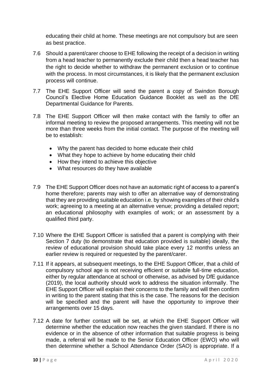educating their child at home. These meetings are not compulsory but are seen as best practice.

- 7.6 Should a parent/carer choose to EHE following the receipt of a decision in writing from a head teacher to permanently exclude their child then a head teacher has the right to decide whether to withdraw the permanent exclusion or to continue with the process. In most circumstances, it is likely that the permanent exclusion process will continue.
- 7.7 The EHE Support Officer will send the parent a copy of Swindon Borough Council's Elective Home Education Guidance Booklet as well as the DfE Departmental Guidance for Parents.
- 7.8 The EHE Support Officer will then make contact with the family to offer an informal meeting to review the proposed arrangements. This meeting will not be more than three weeks from the initial contact. The purpose of the meeting will be to establish:
	- Why the parent has decided to home educate their child
	- What they hope to achieve by home educating their child
	- How they intend to achieve this objective
	- What resources do they have available
- 7.9 The EHE Support Officer does not have an automatic right of access to a parent's home therefore; parents may wish to offer an alternative way of demonstrating that they are providing suitable education i.e. by showing examples of their child's work; agreeing to a meeting at an alternative venue; providing a detailed report; an educational philosophy with examples of work; or an assessment by a qualified third party.
- 7.10 Where the EHE Support Officer is satisfied that a parent is complying with their Section 7 duty (to demonstrate that education provided is suitable) ideally, the review of educational provision should take place every 12 months unless an earlier review is required or requested by the parent/carer.
- 7.11 If it appears, at subsequent meetings, to the EHE Support Officer, that a child of compulsory school age is not receiving efficient or suitable full-time education, either by regular attendance at school or otherwise, as advised by DfE guidance (2019), the local authority should work to address the situation informally. The EHE Support Officer will explain their concerns to the family and will then confirm in writing to the parent stating that this is the case. The reasons for the decision will be specified and the parent will have the opportunity to improve their arrangements over 15 days.
- 7.12 A date for further contact will be set, at which the EHE Support Officer will determine whether the education now reaches the given standard. If there is no evidence or in the absence of other information that suitable progress is being made, a referral will be made to the Senior Education Officer (EWO) who will then determine whether a School Attendance Order (SAO) is appropriate. If a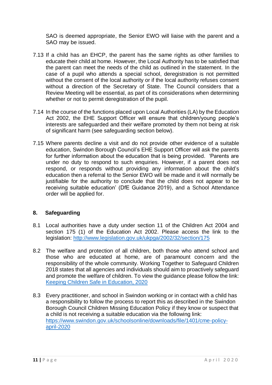SAO is deemed appropriate, the Senior EWO will liaise with the parent and a SAO may be issued.

- 7.13 If a child has an EHCP, the parent has the same rights as other families to educate their child at home. However, the Local Authority has to be satisfied that the parent can meet the needs of the child as outlined in the statement. In the case of a pupil who attends a special school, deregistration is not permitted without the consent of the local authority or if the local authority refuses consent without a direction of the Secretary of State. The Council considers that a Review Meeting will be essential, as part of its considerations when determining whether or not to permit deregistration of the pupil.
- 7.14 In the course of the functions placed upon Local Authorities (LA) by the Education Act 2002, the EHE Support Officer will ensure that children/young people's interests are safeguarded and their welfare promoted by them not being at risk of significant harm (see safeguarding section below).
- 7.15 Where parents decline a visit and do not provide other evidence of a suitable education, Swindon Borough Council's EHE Support Officer will ask the parents for further information about the education that is being provided. 'Parents are under no duty to respond to such enquiries. However, if a parent does not respond, or responds without providing any information about the child's education then a referral to the Senior EWO will be made and it will normally be justifiable for the authority to conclude that the child does not appear to be receiving suitable education' (DfE Guidance 2019), and a School Attendance order will be applied for.

#### **8. Safeguarding**

- 8.1 Local authorities have a duty under section 11 of the Children Act 2004 and section 175 (1) of the Education Act 2002. Please access the link to the legislation: <http://www.legislation.gov.uk/ukpga/2002/32/section/175>
- 8.2 The welfare and protection of all children, both those who attend school and those who are educated at home, are of paramount concern and the responsibility of the whole community. Working Together to Safeguard Children 2018 states that all agencies and individuals should aim to proactively safeguard and promote the welfare of children. To view the guidance please follow the link: [Keeping Children Safe in Education, 2020](file://///sbcvpcowfs04.sbcintra.com/Shared_Premier/Education/WG_EWO/EWS%20guidance,%20info%20on%20key%20topics%20&%20info%20from%20other%20services)
- 8.3 Every practitioner, and school in Swindon working or in contact with a child has a responsibility to follow the process to report this as described in the Swindon Borough Council Children Missing Education Policy if they know or suspect that a child is not receiving a suitable education via the following link: [https://www.swindon.gov.uk/schoolsonline/downloads/file/1401/cme-policy](https://www.swindon.gov.uk/schoolsonline/downloads/file/1401/cme-policy-april-2020)[april-2020](https://www.swindon.gov.uk/schoolsonline/downloads/file/1401/cme-policy-april-2020)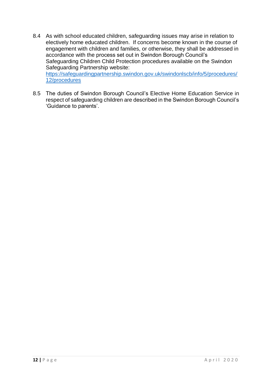- 8.4 As with school educated children, safeguarding issues may arise in relation to electively home educated children. If concerns become known in the course of engagement with children and families, or otherwise, they shall be addressed in accordance with the process set out in Swindon Borough Council's Safeguarding Children Child Protection procedures available on the Swindon Safeguarding Partnership website: [https://safeguardingpartnership.swindon.gov.uk/swindonlscb/info/5/procedures/](https://safeguardingpartnership.swindon.gov.uk/swindonlscb/info/5/procedures/12/procedures) [12/procedures](https://safeguardingpartnership.swindon.gov.uk/swindonlscb/info/5/procedures/12/procedures)
- 8.5 The duties of Swindon Borough Council's Elective Home Education Service in respect of safeguarding children are described in the Swindon Borough Council's 'Guidance to parents'.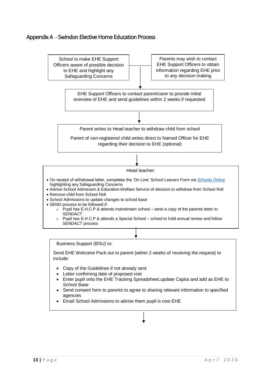### Appendix A - Swindon Elective Home Education Process



Business Support (BSU) to:

Send EHE Welcome Pack out to parent (within 2 weeks of receiving the request) to include:

- Copy of the Guidelines if not already sent
- Letter confirming date of proposed visit
- Enter pupil onto the EHE Tracking Spreadsheet,update Capita and add as EHE to School Base
- Send consent form to parents to agree to sharing relevant information to specified agencies
- Email School Admissions to advise them pupil is now EHE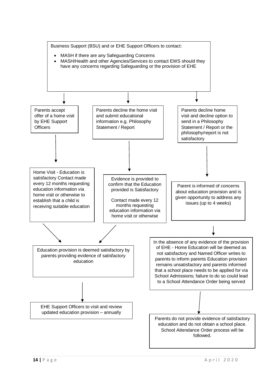